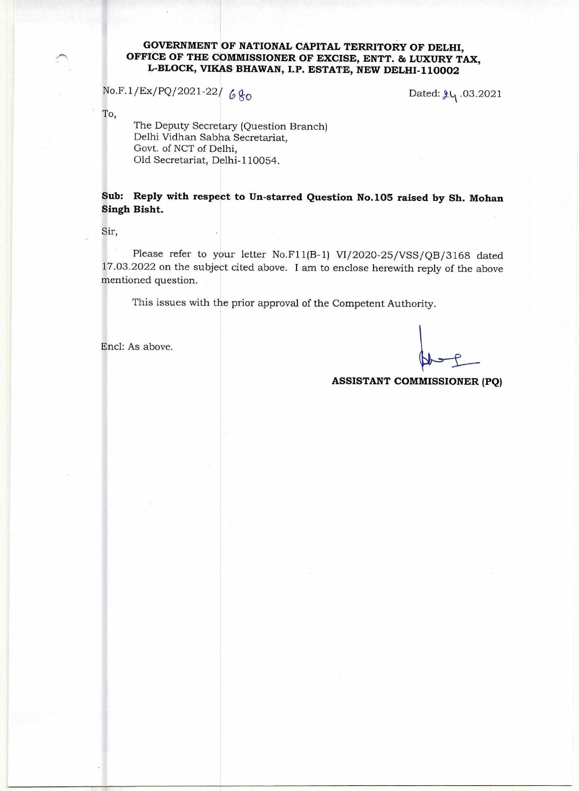## **GOVERNMENT OF NATIONAL CAPITAL TERRITORY OF DELHI, OFFICE OF THE COMMISSIONER OF EXCISE, ENTT. & LUXURY TAX, L-BLOCK, VIKAS BHAWAN, I.P. ESTATE, NEW DELHI-110002**

 $No.F.1/Ex/PQ/2021-22/680$  Dated:  $\mu_1.03.2021$ 

To,

The Deputy Secretary (Question Branch) Delhi Vidhan Sabha Secretariat, Govt. of NCT of Delhi, Old Secretariat, Delhi-110054.

**Sub: Reply with respect to Un-starred Question No.105 raised by Sh. Mohan Singh Bisht.** 

Sir,

Please refer to your letter No.F11(B-1) VI/2020-25/VSS/QB/3168 dated 17.03.2022 on the subject cited above. I am to enclose herewith reply of the above mentioned question.

This issues with the prior approval of the Competent Authority.

Encl: As above.

## **ASSISTANT COMMISSIONER (PQ)**